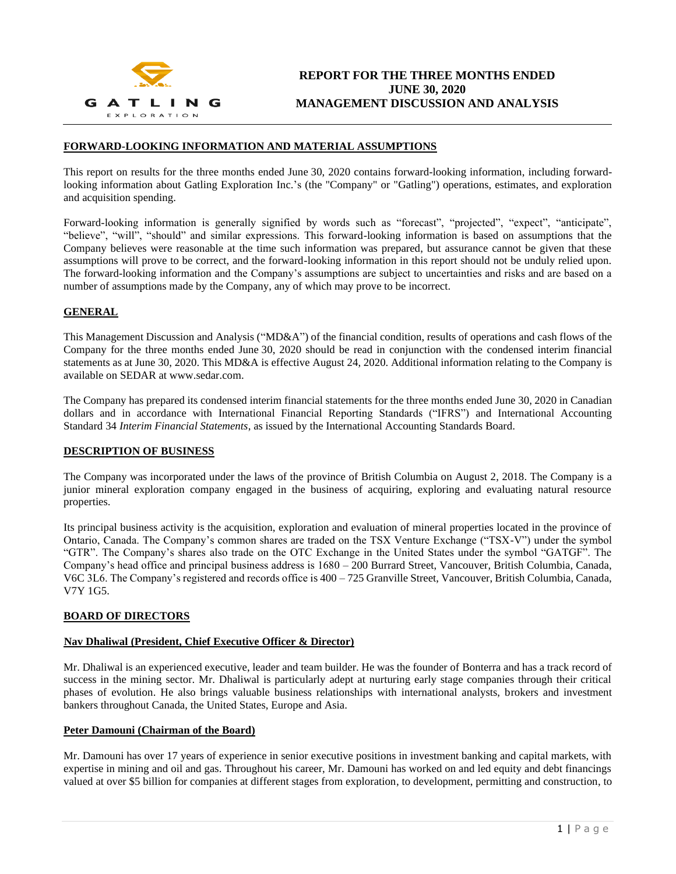

## **FORWARD-LOOKING INFORMATION AND MATERIAL ASSUMPTIONS**

This report on results for the three months ended June 30, 2020 contains forward-looking information, including forwardlooking information about Gatling Exploration Inc.'s (the "Company" or "Gatling") operations, estimates, and exploration and acquisition spending.

Forward-looking information is generally signified by words such as "forecast", "projected", "expect", "anticipate", "believe", "will", "should" and similar expressions. This forward-looking information is based on assumptions that the Company believes were reasonable at the time such information was prepared, but assurance cannot be given that these assumptions will prove to be correct, and the forward-looking information in this report should not be unduly relied upon. The forward-looking information and the Company's assumptions are subject to uncertainties and risks and are based on a number of assumptions made by the Company, any of which may prove to be incorrect.

# **GENERAL**

This Management Discussion and Analysis ("MD&A") of the financial condition, results of operations and cash flows of the Company for the three months ended June 30, 2020 should be read in conjunction with the condensed interim financial statements as at June 30, 2020. This MD&A is effective August 24, 2020. Additional information relating to the Company is available on SEDAR at www.sedar.com.

The Company has prepared its condensed interim financial statements for the three months ended June 30, 2020 in Canadian dollars and in accordance with International Financial Reporting Standards ("IFRS") and International Accounting Standard 34 *Interim Financial Statements*, as issued by the International Accounting Standards Board.

#### **DESCRIPTION OF BUSINESS**

The Company was incorporated under the laws of the province of British Columbia on August 2, 2018. The Company is a junior mineral exploration company engaged in the business of acquiring, exploring and evaluating natural resource properties.

Its principal business activity is the acquisition, exploration and evaluation of mineral properties located in the province of Ontario, Canada. The Company's common shares are traded on the TSX Venture Exchange ("TSX-V") under the symbol "GTR". The Company's shares also trade on the OTC Exchange in the United States under the symbol "GATGF". The Company's head office and principal business address is 1680 – 200 Burrard Street, Vancouver, British Columbia, Canada, V6C 3L6. The Company's registered and records office is 400 – 725 Granville Street, Vancouver, British Columbia, Canada, V7Y 1G5.

#### **BOARD OF DIRECTORS**

#### **Nav Dhaliwal (President, Chief Executive Officer & Director)**

Mr. Dhaliwal is an experienced executive, leader and team builder. He was the founder of Bonterra and has a track record of success in the mining sector. Mr. Dhaliwal is particularly adept at nurturing early stage companies through their critical phases of evolution. He also brings valuable business relationships with international analysts, brokers and investment bankers throughout Canada, the United States, Europe and Asia.

#### **Peter Damouni (Chairman of the Board)**

Mr. Damouni has over 17 years of experience in senior executive positions in investment banking and capital markets, with expertise in mining and oil and gas. Throughout his career, Mr. Damouni has worked on and led equity and debt financings valued at over \$5 billion for companies at different stages from exploration, to development, permitting and construction, to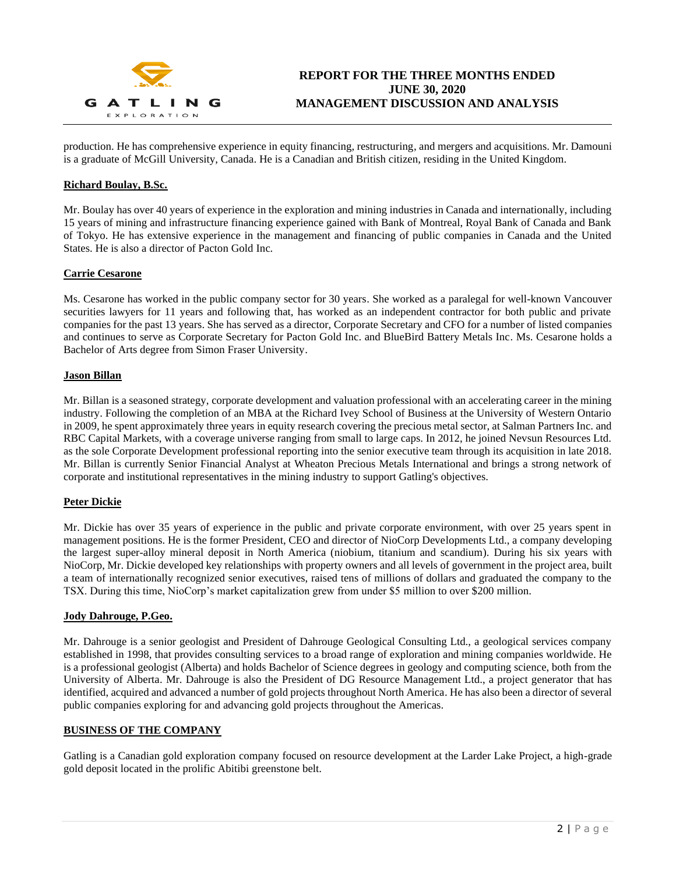

production. He has comprehensive experience in equity financing, restructuring, and mergers and acquisitions. Mr. Damouni is a graduate of McGill University, Canada. He is a Canadian and British citizen, residing in the United Kingdom.

# **Richard Boulay, B.Sc.**

Mr. Boulay has over 40 years of experience in the exploration and mining industries in Canada and internationally, including 15 years of mining and infrastructure financing experience gained with Bank of Montreal, Royal Bank of Canada and Bank of Tokyo. He has extensive experience in the management and financing of public companies in Canada and the United States. He is also a director of Pacton Gold Inc.

#### **Carrie Cesarone**

Ms. Cesarone has worked in the public company sector for 30 years. She worked as a paralegal for well-known Vancouver securities lawyers for 11 years and following that, has worked as an independent contractor for both public and private companies for the past 13 years. She has served as a director, Corporate Secretary and CFO for a number of listed companies and continues to serve as Corporate Secretary for Pacton Gold Inc. and BlueBird Battery Metals Inc. Ms. Cesarone holds a Bachelor of Arts degree from Simon Fraser University.

## **Jason Billan**

Mr. Billan is a seasoned strategy, corporate development and valuation professional with an accelerating career in the mining industry. Following the completion of an MBA at the Richard Ivey School of Business at the University of Western Ontario in 2009, he spent approximately three years in equity research covering the precious metal sector, at Salman Partners Inc. and RBC Capital Markets, with a coverage universe ranging from small to large caps. In 2012, he joined Nevsun Resources Ltd. as the sole Corporate Development professional reporting into the senior executive team through its acquisition in late 2018. Mr. Billan is currently Senior Financial Analyst at Wheaton Precious Metals International and brings a strong network of corporate and institutional representatives in the mining industry to support Gatling's objectives.

#### **Peter Dickie**

Mr. Dickie has over 35 years of experience in the public and private corporate environment, with over 25 years spent in management positions. He is the former President, CEO and director of NioCorp Developments Ltd., a company developing the largest super-alloy mineral deposit in North America (niobium, titanium and scandium). During his six years with NioCorp, Mr. Dickie developed key relationships with property owners and all levels of government in the project area, built a team of internationally recognized senior executives, raised tens of millions of dollars and graduated the company to the TSX. During this time, NioCorp's market capitalization grew from under \$5 million to over \$200 million.

#### **Jody Dahrouge, P.Geo.**

Mr. Dahrouge is a senior geologist and President of Dahrouge Geological Consulting Ltd., a geological services company established in 1998, that provides consulting services to a broad range of exploration and mining companies worldwide. He is a professional geologist (Alberta) and holds Bachelor of Science degrees in geology and computing science, both from the University of Alberta. Mr. Dahrouge is also the President of DG Resource Management Ltd., a project generator that has identified, acquired and advanced a number of gold projects throughout North America. He has also been a director of several public companies exploring for and advancing gold projects throughout the Americas.

## **BUSINESS OF THE COMPANY**

Gatling is a Canadian gold exploration company focused on resource development at the Larder Lake Project, a high-grade gold deposit located in the prolific Abitibi greenstone belt.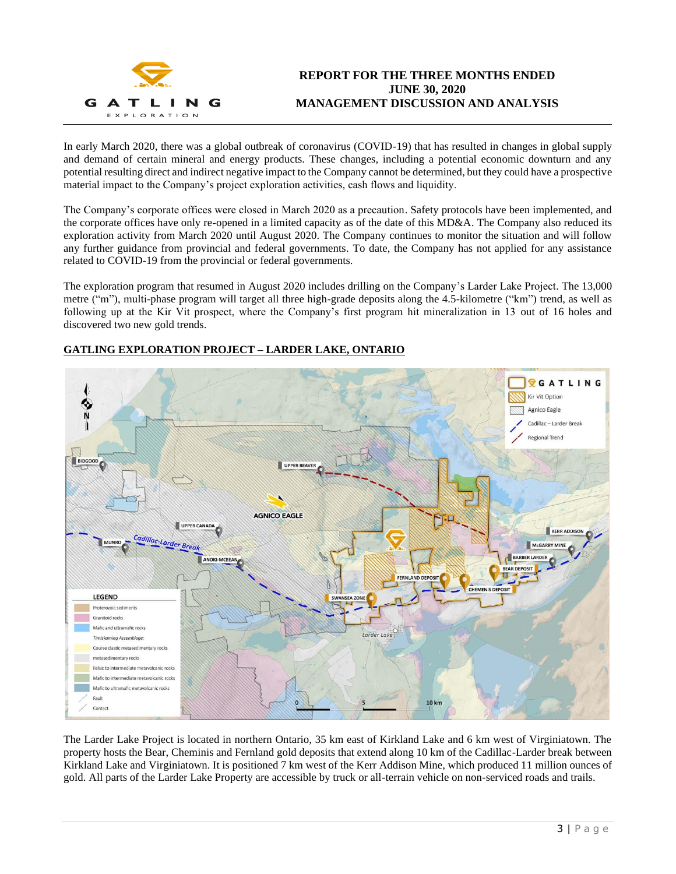

# **REPORT FOR THE THREE MONTHS ENDED JUNE 30, 2020 MANAGEMENT DISCUSSION AND ANALYSIS**

In early March 2020, there was a global outbreak of coronavirus (COVID-19) that has resulted in changes in global supply and demand of certain mineral and energy products. These changes, including a potential economic downturn and any potential resulting direct and indirect negative impact to the Company cannot be determined, but they could have a prospective material impact to the Company's project exploration activities, cash flows and liquidity.

The Company's corporate offices were closed in March 2020 as a precaution. Safety protocols have been implemented, and the corporate offices have only re-opened in a limited capacity as of the date of this MD&A. The Company also reduced its exploration activity from March 2020 until August 2020. The Company continues to monitor the situation and will follow any further guidance from provincial and federal governments. To date, the Company has not applied for any assistance related to COVID-19 from the provincial or federal governments.

The exploration program that resumed in August 2020 includes drilling on the Company's Larder Lake Project. The 13,000 metre ("m"), multi-phase program will target all three high-grade deposits along the 4.5-kilometre ("km") trend, as well as following up at the Kir Vit prospect, where the Company's first program hit mineralization in 13 out of 16 holes and discovered two new gold trends.



# **GATLING EXPLORATION PROJECT – LARDER LAKE, ONTARIO**

The Larder Lake Project is located in northern Ontario, 35 km east of Kirkland Lake and 6 km west of Virginiatown. The property hosts the Bear, Cheminis and Fernland gold deposits that extend along 10 km of the Cadillac-Larder break between Kirkland Lake and Virginiatown. It is positioned 7 km west of the Kerr Addison Mine, which produced 11 million ounces of gold. All parts of the Larder Lake Property are accessible by truck or all-terrain vehicle on non-serviced roads and trails.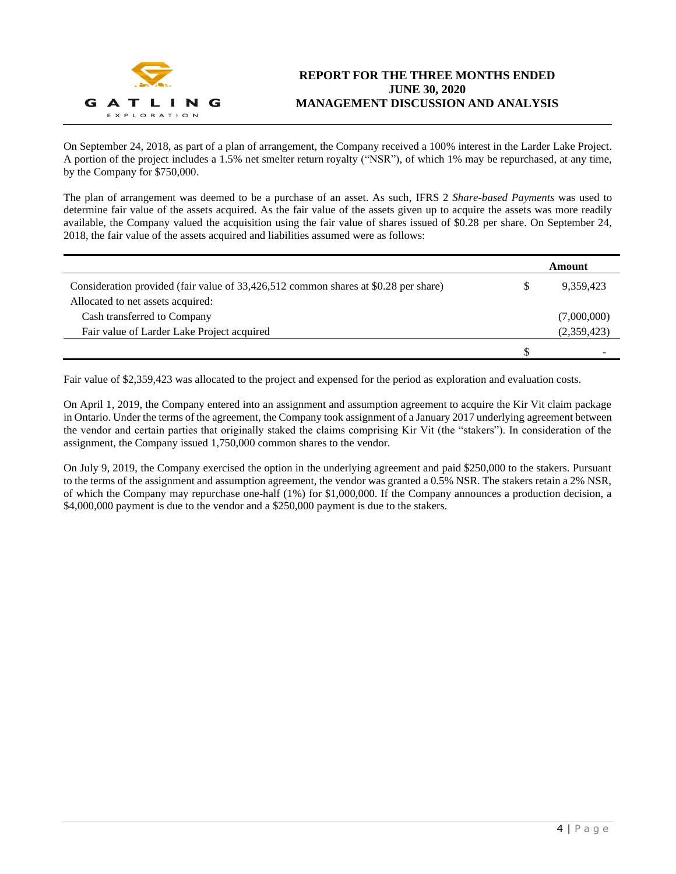

On September 24, 2018, as part of a plan of arrangement, the Company received a 100% interest in the Larder Lake Project. A portion of the project includes a 1.5% net smelter return royalty ("NSR"), of which 1% may be repurchased, at any time, by the Company for \$750,000.

The plan of arrangement was deemed to be a purchase of an asset. As such, IFRS 2 *Share-based Payments* was used to determine fair value of the assets acquired. As the fair value of the assets given up to acquire the assets was more readily available, the Company valued the acquisition using the fair value of shares issued of \$0.28 per share. On September 24, 2018, the fair value of the assets acquired and liabilities assumed were as follows:

|                                                                                     |   | Amount      |
|-------------------------------------------------------------------------------------|---|-------------|
| Consideration provided (fair value of 33,426,512 common shares at \$0.28 per share) | S | 9,359,423   |
| Allocated to net assets acquired:                                                   |   |             |
| Cash transferred to Company                                                         |   | (7,000,000) |
| Fair value of Larder Lake Project acquired                                          |   | (2,359,423) |
|                                                                                     |   | ٠           |

Fair value of \$2,359,423 was allocated to the project and expensed for the period as exploration and evaluation costs.

On April 1, 2019, the Company entered into an assignment and assumption agreement to acquire the Kir Vit claim package in Ontario. Under the terms of the agreement, the Company took assignment of a January 2017 underlying agreement between the vendor and certain parties that originally staked the claims comprising Kir Vit (the "stakers"). In consideration of the assignment, the Company issued 1,750,000 common shares to the vendor.

On July 9, 2019, the Company exercised the option in the underlying agreement and paid \$250,000 to the stakers. Pursuant to the terms of the assignment and assumption agreement, the vendor was granted a 0.5% NSR. The stakers retain a 2% NSR, of which the Company may repurchase one-half (1%) for \$1,000,000. If the Company announces a production decision, a \$4,000,000 payment is due to the vendor and a \$250,000 payment is due to the stakers.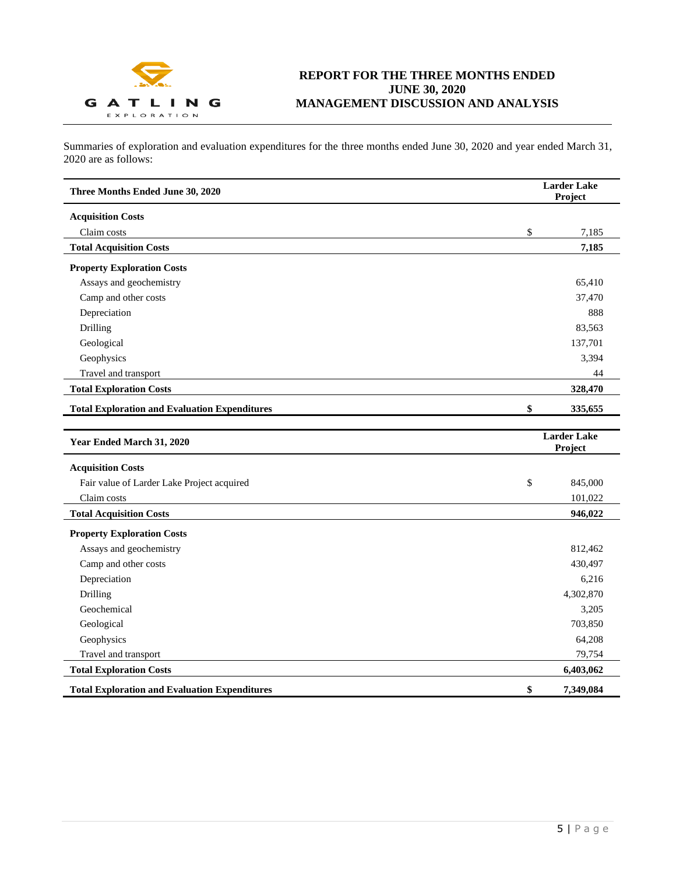

Summaries of exploration and evaluation expenditures for the three months ended June 30, 2020 and year ended March 31, 2020 are as follows:

| Three Months Ended June 30, 2020                     | <b>Larder Lake</b><br>Project |                               |
|------------------------------------------------------|-------------------------------|-------------------------------|
| <b>Acquisition Costs</b>                             |                               |                               |
| Claim costs                                          | \$                            | 7,185                         |
| <b>Total Acquisition Costs</b>                       |                               | 7,185                         |
| <b>Property Exploration Costs</b>                    |                               |                               |
| Assays and geochemistry                              |                               | 65,410                        |
| Camp and other costs                                 |                               | 37,470                        |
| Depreciation                                         |                               | 888                           |
| Drilling                                             |                               | 83,563                        |
| Geological                                           |                               | 137,701                       |
| Geophysics                                           |                               | 3,394                         |
| Travel and transport                                 |                               | 44                            |
| <b>Total Exploration Costs</b>                       |                               | 328,470                       |
| <b>Total Exploration and Evaluation Expenditures</b> | \$                            | 335,655                       |
|                                                      |                               |                               |
| Year Ended March 31, 2020                            |                               | <b>Larder Lake</b><br>Project |
| <b>Acquisition Costs</b>                             |                               |                               |
| Fair value of Larder Lake Project acquired           | \$                            | 845,000                       |
| Claim costs                                          |                               | 101,022                       |
| <b>Total Acquisition Costs</b>                       |                               | 946,022                       |
| <b>Property Exploration Costs</b>                    |                               |                               |
| Assays and geochemistry                              |                               | 812,462                       |
| Camp and other costs                                 |                               | 430,497                       |
| Depreciation                                         |                               | 6,216                         |
| Drilling                                             |                               | 4,302,870                     |
| Geochemical                                          |                               | 3,205                         |
| Geological                                           |                               | 703,850                       |
| Geophysics                                           |                               | 64,208                        |
| Travel and transport                                 |                               | 79,754                        |
| <b>Total Exploration Costs</b>                       |                               | 6,403,062                     |
| <b>Total Exploration and Evaluation Expenditures</b> | \$                            | 7,349,084                     |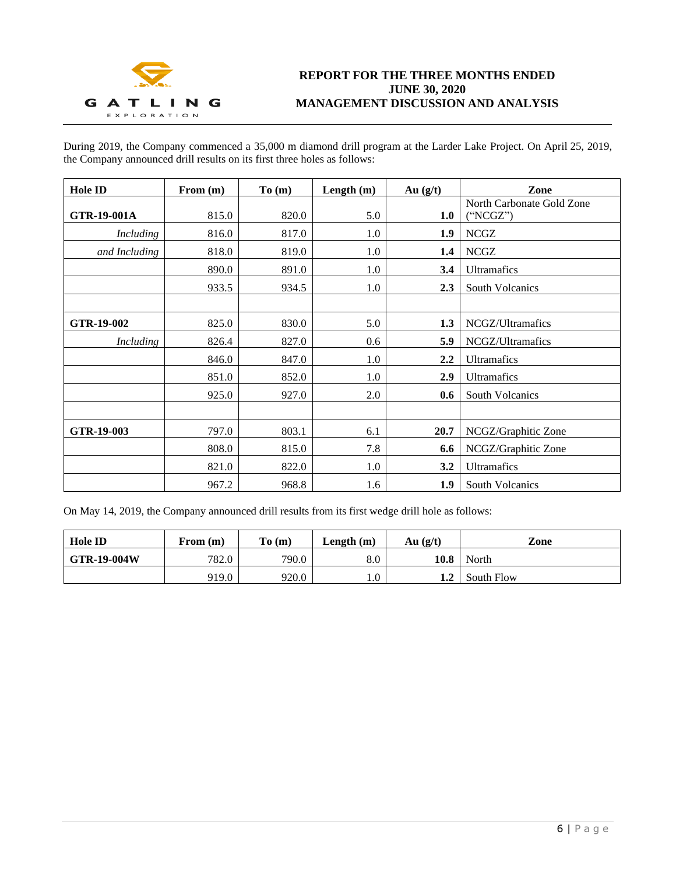

# **REPORT FOR THE THREE MONTHS ENDED JUNE 30, 2020 MANAGEMENT DISCUSSION AND ANALYSIS**

During 2019, the Company commenced a 35,000 m diamond drill program at the Larder Lake Project. On April 25, 2019, the Company announced drill results on its first three holes as follows:

| <b>Hole ID</b>   | From $(m)$ | To (m) | Length $(m)$ | Au $(g/t)$ | Zone                                  |
|------------------|------------|--------|--------------|------------|---------------------------------------|
| GTR-19-001A      | 815.0      | 820.0  | 5.0          | 1.0        | North Carbonate Gold Zone<br>("NCGZ") |
| Including        | 816.0      | 817.0  | 1.0          | 1.9        | <b>NCGZ</b>                           |
| and Including    | 818.0      | 819.0  | 1.0          | $1.4\,$    | <b>NCGZ</b>                           |
|                  | 890.0      | 891.0  | 1.0          | 3.4        | <b>Ultramafics</b>                    |
|                  | 933.5      | 934.5  | 1.0          | 2.3        | <b>South Volcanics</b>                |
|                  |            |        |              |            |                                       |
| GTR-19-002       | 825.0      | 830.0  | 5.0          | 1.3        | NCGZ/Ultramafics                      |
| <b>Including</b> | 826.4      | 827.0  | 0.6          | 5.9        | NCGZ/Ultramafics                      |
|                  | 846.0      | 847.0  | 1.0          | 2.2        | Ultramafics                           |
|                  | 851.0      | 852.0  | 1.0          | 2.9        | Ultramafics                           |
|                  | 925.0      | 927.0  | 2.0          | 0.6        | <b>South Volcanics</b>                |
|                  |            |        |              |            |                                       |
| GTR-19-003       | 797.0      | 803.1  | 6.1          | 20.7       | NCGZ/Graphitic Zone                   |
|                  | 808.0      | 815.0  | 7.8          | 6.6        | NCGZ/Graphitic Zone                   |
|                  | 821.0      | 822.0  | 1.0          | 3.2        | Ultramafics                           |
|                  | 967.2      | 968.8  | 1.6          | 1.9        | <b>South Volcanics</b>                |

On May 14, 2019, the Company announced drill results from its first wedge drill hole as follows:

| <b>Hole ID</b>     | From (m) | To(m) | Length $(m)$ | Au $(g/t)$ | Zone       |
|--------------------|----------|-------|--------------|------------|------------|
| <b>GTR-19-004W</b> | 782.0    | 790.0 | 8.0          | 10.8       | North      |
|                    | 919.0    | 920.0 | 0.1          | 1.2        | South Flow |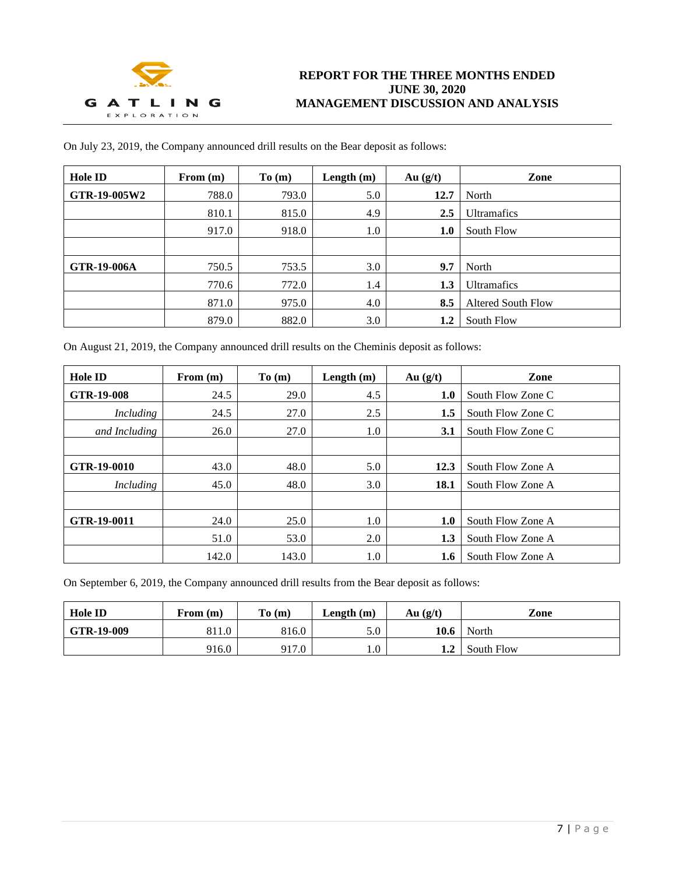

| <b>Hole ID</b>     | From $(m)$ | To(m) | Length $(m)$ | Au $(g/t)$ | Zone                      |
|--------------------|------------|-------|--------------|------------|---------------------------|
| GTR-19-005W2       | 788.0      | 793.0 | 5.0          | 12.7       | North                     |
|                    | 810.1      | 815.0 | 4.9          | 2.5        | <b>Ultramafics</b>        |
|                    | 917.0      | 918.0 | 1.0          | 1.0        | South Flow                |
|                    |            |       |              |            |                           |
| <b>GTR-19-006A</b> | 750.5      | 753.5 | 3.0          | 9.7        | North                     |
|                    | 770.6      | 772.0 | 1.4          | 1.3        | <b>Ultramafics</b>        |
|                    | 871.0      | 975.0 | 4.0          | 8.5        | <b>Altered South Flow</b> |
|                    | 879.0      | 882.0 | 3.0          | 1.2        | South Flow                |

On July 23, 2019, the Company announced drill results on the Bear deposit as follows:

On August 21, 2019, the Company announced drill results on the Cheminis deposit as follows:

| <b>Hole ID</b>    | From $(m)$ | To(m) | Length $(m)$ | Au $(g/t)$ | Zone              |
|-------------------|------------|-------|--------------|------------|-------------------|
| <b>GTR-19-008</b> | 24.5       | 29.0  | 4.5          | 1.0        | South Flow Zone C |
| Including         | 24.5       | 27.0  | 2.5          | 1.5        | South Flow Zone C |
| and Including     | 26.0       | 27.0  | 1.0          | 3.1        | South Flow Zone C |
|                   |            |       |              |            |                   |
| GTR-19-0010       | 43.0       | 48.0  | 5.0          | 12.3       | South Flow Zone A |
| Including         | 45.0       | 48.0  | 3.0          | 18.1       | South Flow Zone A |
|                   |            |       |              |            |                   |
| GTR-19-0011       | 24.0       | 25.0  | 1.0          | 1.0        | South Flow Zone A |
|                   | 51.0       | 53.0  | 2.0          | 1.3        | South Flow Zone A |
|                   | 142.0      | 143.0 | 1.0          | 1.6        | South Flow Zone A |

On September 6, 2019, the Company announced drill results from the Bear deposit as follows:

| <b>Hole ID</b> | From $(m)$ | To(m) | Length $(m)$ | Au $(g/t)$ | Zone       |
|----------------|------------|-------|--------------|------------|------------|
| GTR-19-009     | 811.0      | 816.0 | 5.0          | 10.6       | North      |
|                | 916.0      | 917.0 | $1.0\,$      | 1.2        | South Flow |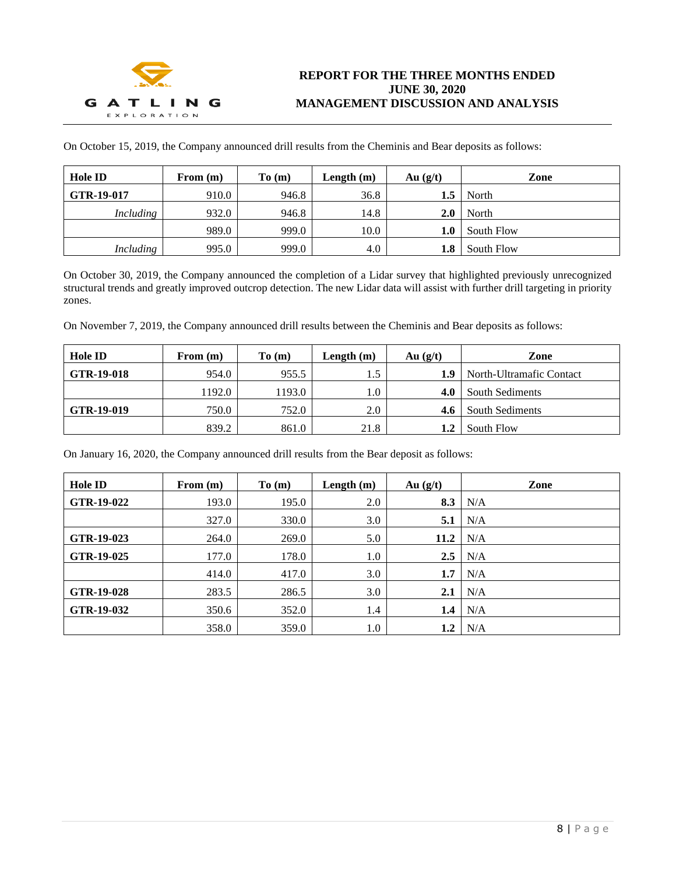

On October 15, 2019, the Company announced drill results from the Cheminis and Bear deposits as follows:

| <b>Hole ID</b> | From $(m)$ | To(m) | Length $(m)$ | Au $(g/t)$ | Zone       |
|----------------|------------|-------|--------------|------------|------------|
| GTR-19-017     | 910.0      | 946.8 | 36.8         | 1.5        | North      |
| Including      | 932.0      | 946.8 | 14.8         | 2.0        | North      |
|                | 989.0      | 999.0 | 10.0         | $1.0\,$    | South Flow |
| Including      | 995.0      | 999.0 | 4.0          | 1.8        | South Flow |

On October 30, 2019, the Company announced the completion of a Lidar survey that highlighted previously unrecognized structural trends and greatly improved outcrop detection. The new Lidar data will assist with further drill targeting in priority zones.

On November 7, 2019, the Company announced drill results between the Cheminis and Bear deposits as follows:

| <b>Hole ID</b>    | From $(m)$ | To(m)  | Length $(m)$ | Au $(g/t)$ | Zone                     |
|-------------------|------------|--------|--------------|------------|--------------------------|
| <b>GTR-19-018</b> | 954.0      | 955.5  | 1.5          | 1.9        | North-Ultramafic Contact |
|                   | 1192.0     | 1193.0 | $0.1\,$      | 4.0        | South Sediments          |
| GTR-19-019        | 750.0      | 752.0  | 2.0          | 4.6        | South Sediments          |
|                   | 839.2      | 861.0  | 21.8         | 1.2        | South Flow               |

On January 16, 2020, the Company announced drill results from the Bear deposit as follows:

| <b>Hole ID</b> | From $(m)$ | To(m) | Length $(m)$ | Au $(g/t)$ | Zone |
|----------------|------------|-------|--------------|------------|------|
| GTR-19-022     | 193.0      | 195.0 | 2.0          | 8.3        | N/A  |
|                | 327.0      | 330.0 | 3.0          | 5.1        | N/A  |
| GTR-19-023     | 264.0      | 269.0 | 5.0          | 11.2       | N/A  |
| GTR-19-025     | 177.0      | 178.0 | 1.0          | 2.5        | N/A  |
|                | 414.0      | 417.0 | 3.0          | 1.7        | N/A  |
| GTR-19-028     | 283.5      | 286.5 | 3.0          | 2.1        | N/A  |
| GTR-19-032     | 350.6      | 352.0 | 1.4          | 1.4        | N/A  |
|                | 358.0      | 359.0 | 1.0          | 1.2        | N/A  |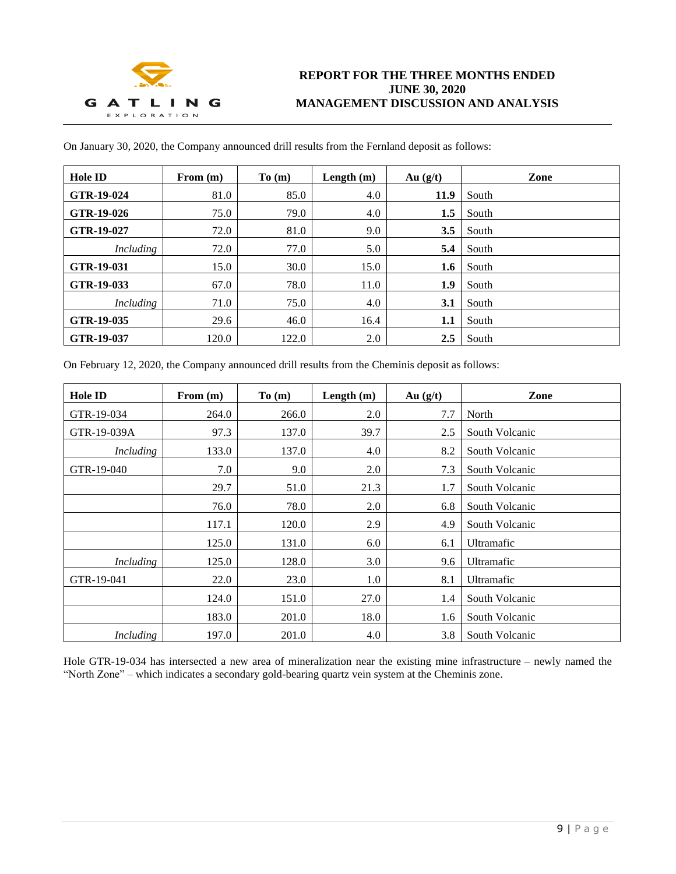

| <b>Hole ID</b> | From $(m)$ | To(m) | Length $(m)$ | Au $(g/t)$ | Zone  |
|----------------|------------|-------|--------------|------------|-------|
| GTR-19-024     | 81.0       | 85.0  | 4.0          | 11.9       | South |
| GTR-19-026     | 75.0       | 79.0  | 4.0          | 1.5        | South |
| GTR-19-027     | 72.0       | 81.0  | 9.0          | 3.5        | South |
| Including      | 72.0       | 77.0  | 5.0          | 5.4        | South |
| GTR-19-031     | 15.0       | 30.0  | 15.0         | 1.6        | South |
| GTR-19-033     | 67.0       | 78.0  | 11.0         | 1.9        | South |
| Including      | 71.0       | 75.0  | 4.0          | 3.1        | South |
| GTR-19-035     | 29.6       | 46.0  | 16.4         | 1.1        | South |
| GTR-19-037     | 120.0      | 122.0 | 2.0          | 2.5        | South |

On January 30, 2020, the Company announced drill results from the Fernland deposit as follows:

On February 12, 2020, the Company announced drill results from the Cheminis deposit as follows:

| <b>Hole ID</b> | From $(m)$ | To(m) | Length $(m)$ | Au $(g/t)$ | Zone           |
|----------------|------------|-------|--------------|------------|----------------|
| GTR-19-034     | 264.0      | 266.0 | 2.0          | 7.7        | North          |
| GTR-19-039A    | 97.3       | 137.0 | 39.7         | 2.5        | South Volcanic |
| Including      | 133.0      | 137.0 | 4.0          | 8.2        | South Volcanic |
| GTR-19-040     | 7.0        | 9.0   | 2.0          | 7.3        | South Volcanic |
|                | 29.7       | 51.0  | 21.3         | 1.7        | South Volcanic |
|                | 76.0       | 78.0  | 2.0          | 6.8        | South Volcanic |
|                | 117.1      | 120.0 | 2.9          | 4.9        | South Volcanic |
|                | 125.0      | 131.0 | 6.0          | 6.1        | Ultramafic     |
| Including      | 125.0      | 128.0 | 3.0          | 9.6        | Ultramafic     |
| GTR-19-041     | 22.0       | 23.0  | 1.0          | 8.1        | Ultramafic     |
|                | 124.0      | 151.0 | 27.0         | 1.4        | South Volcanic |
|                | 183.0      | 201.0 | 18.0         | 1.6        | South Volcanic |
| Including      | 197.0      | 201.0 | 4.0          | 3.8        | South Volcanic |

Hole GTR-19-034 has intersected a new area of mineralization near the existing mine infrastructure – newly named the "North Zone" – which indicates a secondary gold-bearing quartz vein system at the Cheminis zone.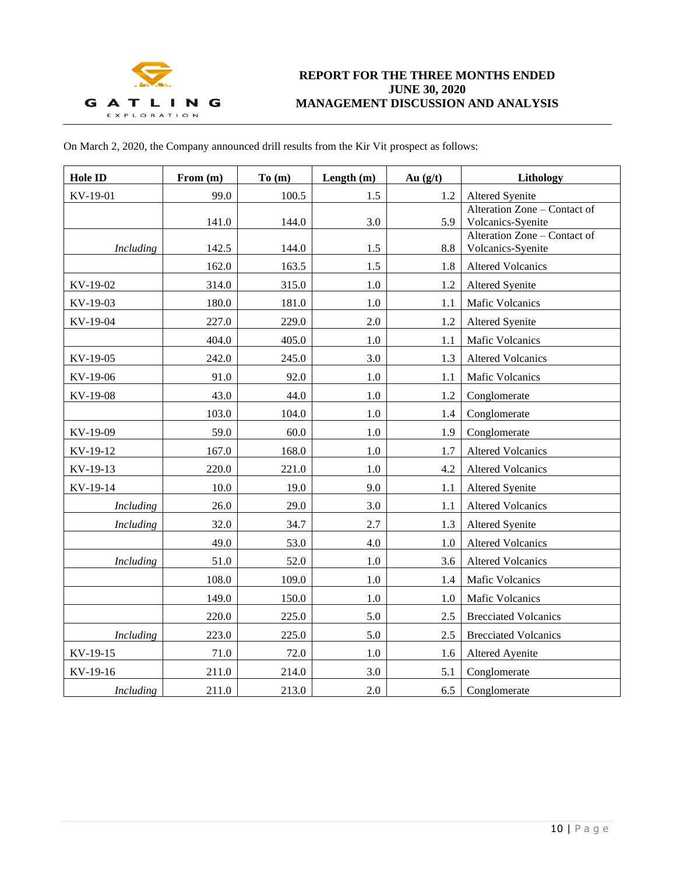

| On March 2, 2020, the Company announced drill results from the Kir Vit prospect as follows: |  |  |
|---------------------------------------------------------------------------------------------|--|--|
|---------------------------------------------------------------------------------------------|--|--|

| <b>Hole ID</b>   | From $(m)$ | To(m) | Length $(m)$ | Au $(g/t)$ | Lithology                                         |
|------------------|------------|-------|--------------|------------|---------------------------------------------------|
| KV-19-01         | 99.0       | 100.5 | 1.5          | 1.2        | Altered Syenite                                   |
|                  | 141.0      | 144.0 | 3.0          | 5.9        | Alteration Zone - Contact of<br>Volcanics-Syenite |
| Including        | 142.5      | 144.0 | 1.5          | 8.8        | Alteration Zone - Contact of<br>Volcanics-Syenite |
|                  | 162.0      | 163.5 | 1.5          | 1.8        | <b>Altered Volcanics</b>                          |
| KV-19-02         | 314.0      | 315.0 | $1.0\,$      | 1.2        | Altered Syenite                                   |
| KV-19-03         | 180.0      | 181.0 | $1.0\,$      | 1.1        | Mafic Volcanics                                   |
| KV-19-04         | 227.0      | 229.0 | 2.0          | 1.2        | Altered Syenite                                   |
|                  | 404.0      | 405.0 | 1.0          | 1.1        | <b>Mafic Volcanics</b>                            |
| KV-19-05         | 242.0      | 245.0 | 3.0          | 1.3        | <b>Altered Volcanics</b>                          |
| KV-19-06         | 91.0       | 92.0  | 1.0          | 1.1        | <b>Mafic Volcanics</b>                            |
| KV-19-08         | 43.0       | 44.0  | 1.0          | 1.2        | Conglomerate                                      |
|                  | 103.0      | 104.0 | 1.0          | 1.4        | Conglomerate                                      |
| KV-19-09         | 59.0       | 60.0  | $1.0\,$      | 1.9        | Conglomerate                                      |
| KV-19-12         | 167.0      | 168.0 | 1.0          | 1.7        | <b>Altered Volcanics</b>                          |
| KV-19-13         | 220.0      | 221.0 | $1.0\,$      | 4.2        | <b>Altered Volcanics</b>                          |
| KV-19-14         | 10.0       | 19.0  | 9.0          | 1.1        | Altered Syenite                                   |
| <b>Including</b> | 26.0       | 29.0  | 3.0          | 1.1        | <b>Altered Volcanics</b>                          |
| <b>Including</b> | 32.0       | 34.7  | 2.7          | 1.3        | <b>Altered Syenite</b>                            |
|                  | 49.0       | 53.0  | 4.0          | 1.0        | <b>Altered Volcanics</b>                          |
| <b>Including</b> | 51.0       | 52.0  | 1.0          | 3.6        | <b>Altered Volcanics</b>                          |
|                  | 108.0      | 109.0 | 1.0          | 1.4        | <b>Mafic Volcanics</b>                            |
|                  | 149.0      | 150.0 | $1.0\,$      | 1.0        | <b>Mafic Volcanics</b>                            |
|                  | 220.0      | 225.0 | 5.0          | 2.5        | <b>Brecciated Volcanics</b>                       |
| <b>Including</b> | 223.0      | 225.0 | 5.0          | 2.5        | <b>Brecciated Volcanics</b>                       |
| KV-19-15         | 71.0       | 72.0  | 1.0          | 1.6        | Altered Ayenite                                   |
| KV-19-16         | 211.0      | 214.0 | 3.0          | 5.1        | Conglomerate                                      |
| <b>Including</b> | 211.0      | 213.0 | 2.0          | 6.5        | Conglomerate                                      |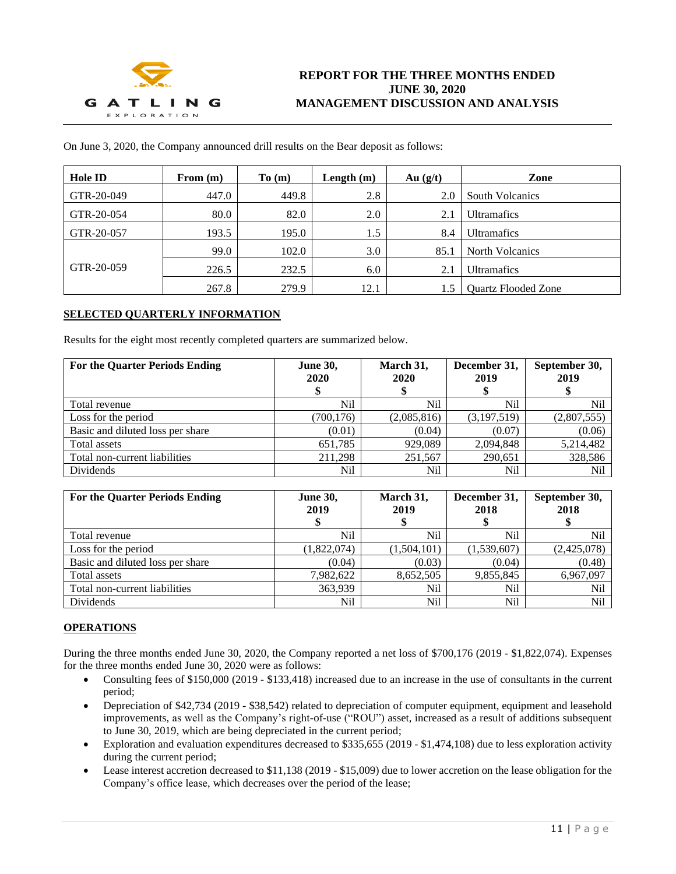

On June 3, 2020, the Company announced drill results on the Bear deposit as follows:

| <b>Hole ID</b> | From $(m)$ | To(m) | Length $(m)$ | Au $(g/t)$ | Zone                       |
|----------------|------------|-------|--------------|------------|----------------------------|
| GTR-20-049     | 447.0      | 449.8 | 2.8          | 2.0        | <b>South Volcanics</b>     |
| GTR-20-054     | 80.0       | 82.0  | 2.0          | 2.1        | <b>Ultramafics</b>         |
| GTR-20-057     | 193.5      | 195.0 | 1.5          | 8.4        | <b>Ultramafics</b>         |
|                | 99.0       | 102.0 | 3.0          | 85.1       | <b>North Volcanics</b>     |
| GTR-20-059     | 226.5      | 232.5 | 6.0          | 2.1        | <b>Ultramafics</b>         |
|                | 267.8      | 279.9 | 12.1         | 1.5        | <b>Quartz Flooded Zone</b> |

## **SELECTED QUARTERLY INFORMATION**

Results for the eight most recently completed quarters are summarized below.

| <b>For the Quarter Periods Ending</b> | <b>June 30,</b><br>2020 | March 31,<br>2020<br>\$ | December 31,<br>2019 | September 30,<br>2019 |
|---------------------------------------|-------------------------|-------------------------|----------------------|-----------------------|
| Total revenue                         | Nil                     | Nil                     | N <sub>il</sub>      | Nil                   |
| Loss for the period                   | (700, 176)              | (2,085,816)             | (3,197,519)          | (2,807,555)           |
| Basic and diluted loss per share      | (0.01)                  | (0.04)                  | (0.07)               | (0.06)                |
| Total assets                          | 651,785                 | 929,089                 | 2,094,848            | 5,214,482             |
| Total non-current liabilities         | 211.298                 | 251,567                 | 290,651              | 328,586               |
| Dividends                             | Nil                     | Nil                     | Nil                  | Nil                   |

| <b>For the Quarter Periods Ending</b> | <b>June 30,</b><br>2019 | March 31,<br>2019 | December 31,<br>2018 | September 30,<br>2018 |
|---------------------------------------|-------------------------|-------------------|----------------------|-----------------------|
| Total revenue                         | Nil                     | Nil               | Nil                  | Nil                   |
| Loss for the period                   | (1,822,074)             | (1,504,101)       | (1,539,607)          | (2,425,078)           |
| Basic and diluted loss per share      | (0.04)                  | (0.03)            | (0.04)               | (0.48)                |
| Total assets                          | 7,982,622               | 8,652,505         | 9,855,845            | 6,967,097             |
| Total non-current liabilities         | 363.939                 | Nil               | Nil                  | Nil                   |
| Dividends                             | Nil                     | Nil               | Nil                  | Nil                   |

# **OPERATIONS**

During the three months ended June 30, 2020, the Company reported a net loss of \$700,176 (2019 - \$1,822,074). Expenses for the three months ended June 30, 2020 were as follows:

- Consulting fees of \$150,000 (2019 \$133,418) increased due to an increase in the use of consultants in the current period;
- Depreciation of \$42,734 (2019 \$38,542) related to depreciation of computer equipment, equipment and leasehold improvements, as well as the Company's right-of-use ("ROU") asset, increased as a result of additions subsequent to June 30, 2019, which are being depreciated in the current period;
- Exploration and evaluation expenditures decreased to \$335,655 (2019 \$1,474,108) due to less exploration activity during the current period;
- Lease interest accretion decreased to \$11,138 (2019 \$15,009) due to lower accretion on the lease obligation for the Company's office lease, which decreases over the period of the lease;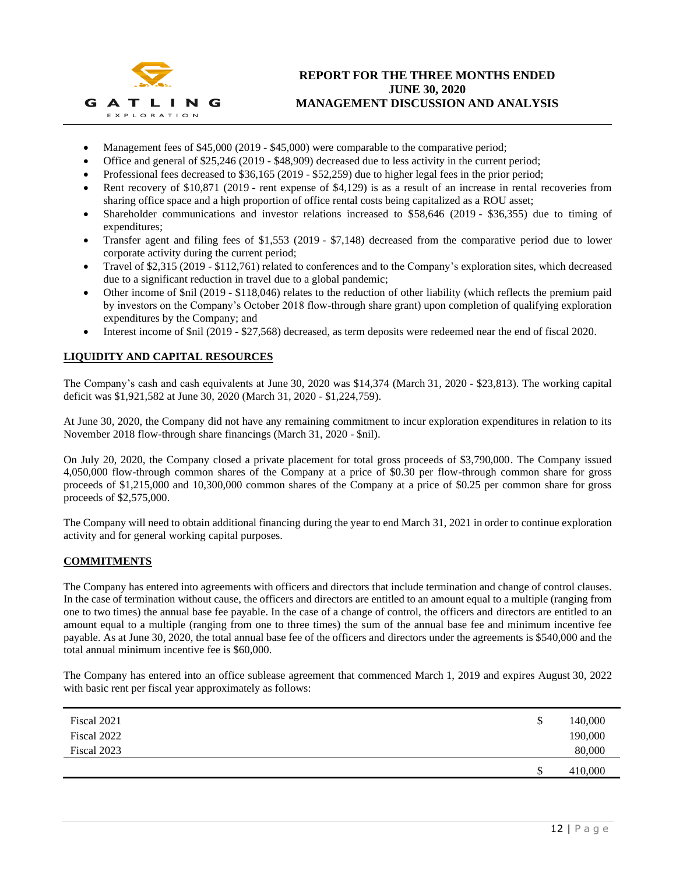

# **REPORT FOR THE THREE MONTHS ENDED JUNE 30, 2020 MANAGEMENT DISCUSSION AND ANALYSIS**

- Management fees of \$45,000 (2019 \$45,000) were comparable to the comparative period;
- Office and general of \$25,246 (2019 \$48,909) decreased due to less activity in the current period;
- Professional fees decreased to \$36,165 (2019 \$52,259) due to higher legal fees in the prior period;
- Rent recovery of \$10,871 (2019 rent expense of \$4,129) is as a result of an increase in rental recoveries from sharing office space and a high proportion of office rental costs being capitalized as a ROU asset;
- Shareholder communications and investor relations increased to \$58,646 (2019 \$36,355) due to timing of expenditures;
- Transfer agent and filing fees of \$1,553 (2019 \$7,148) decreased from the comparative period due to lower corporate activity during the current period;
- Travel of \$2,315 (2019 \$112,761) related to conferences and to the Company's exploration sites, which decreased due to a significant reduction in travel due to a global pandemic;
- Other income of  $\sin(2019 \frac{118,046}{6})$  relates to the reduction of other liability (which reflects the premium paid by investors on the Company's October 2018 flow-through share grant) upon completion of qualifying exploration expenditures by the Company; and
- Interest income of \$nil (2019 \$27,568) decreased, as term deposits were redeemed near the end of fiscal 2020.

# **LIQUIDITY AND CAPITAL RESOURCES**

The Company's cash and cash equivalents at June 30, 2020 was \$14,374 (March 31, 2020 - \$23,813). The working capital deficit was \$1,921,582 at June 30, 2020 (March 31, 2020 - \$1,224,759).

At June 30, 2020, the Company did not have any remaining commitment to incur exploration expenditures in relation to its November 2018 flow-through share financings (March 31, 2020 - \$nil).

On July 20, 2020, the Company closed a private placement for total gross proceeds of \$3,790,000. The Company issued 4,050,000 flow-through common shares of the Company at a price of \$0.30 per flow-through common share for gross proceeds of \$1,215,000 and 10,300,000 common shares of the Company at a price of \$0.25 per common share for gross proceeds of \$2,575,000.

The Company will need to obtain additional financing during the year to end March 31, 2021 in order to continue exploration activity and for general working capital purposes.

# **COMMITMENTS**

The Company has entered into agreements with officers and directors that include termination and change of control clauses. In the case of termination without cause, the officers and directors are entitled to an amount equal to a multiple (ranging from one to two times) the annual base fee payable. In the case of a change of control, the officers and directors are entitled to an amount equal to a multiple (ranging from one to three times) the sum of the annual base fee and minimum incentive fee payable. As at June 30, 2020, the total annual base fee of the officers and directors under the agreements is \$540,000 and the total annual minimum incentive fee is \$60,000.

The Company has entered into an office sublease agreement that commenced March 1, 2019 and expires August 30, 2022 with basic rent per fiscal year approximately as follows:

| Fiscal 2021 | \$<br>140,000 |
|-------------|---------------|
| Fiscal 2022 | 190,000       |
| Fiscal 2023 | 80,000        |
|             | \$<br>410,000 |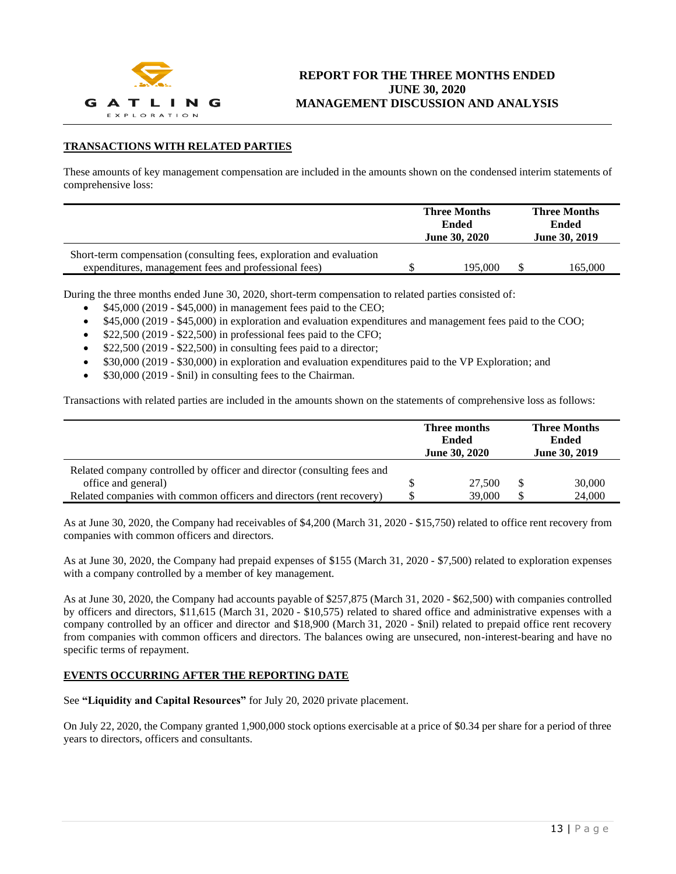

# **TRANSACTIONS WITH RELATED PARTIES**

These amounts of key management compensation are included in the amounts shown on the condensed interim statements of comprehensive loss:

|                                                                      | <b>Three Months</b><br>Ended<br><b>Ended</b><br><b>June 30, 2020</b> |  | <b>Three Months</b><br><b>June 30, 2019</b> |
|----------------------------------------------------------------------|----------------------------------------------------------------------|--|---------------------------------------------|
| Short-term compensation (consulting fees, exploration and evaluation |                                                                      |  |                                             |
| expenditures, management fees and professional fees)                 | 195,000                                                              |  | 165.000                                     |

During the three months ended June 30, 2020, short-term compensation to related parties consisted of:

- \$45,000 (2019 \$45,000) in management fees paid to the CEO;
- \$45,000 (2019 \$45,000) in exploration and evaluation expenditures and management fees paid to the COO;
- \$22,500 (2019 \$22,500) in professional fees paid to the CFO;
- $$22,500 (2019 $22,500)$  in consulting fees paid to a director;
- \$30,000 (2019 \$30,000) in exploration and evaluation expenditures paid to the VP Exploration; and
- \$30,000 (2019 \$nil) in consulting fees to the Chairman.

Transactions with related parties are included in the amounts shown on the statements of comprehensive loss as follows:

|                                                                         | <b>Three Months</b><br>Three months<br><b>Ended</b><br><b>Ended</b><br>June 30, 2019<br><b>June 30, 2020</b> |   |        |
|-------------------------------------------------------------------------|--------------------------------------------------------------------------------------------------------------|---|--------|
| Related company controlled by officer and director (consulting fees and |                                                                                                              |   |        |
| office and general)                                                     | 27,500                                                                                                       |   | 30,000 |
| Related companies with common officers and directors (rent recovery)    | 39,000                                                                                                       | S | 24,000 |

As at June 30, 2020, the Company had receivables of \$4,200 (March 31, 2020 - \$15,750) related to office rent recovery from companies with common officers and directors.

As at June 30, 2020, the Company had prepaid expenses of \$155 (March 31, 2020 - \$7,500) related to exploration expenses with a company controlled by a member of key management.

As at June 30, 2020, the Company had accounts payable of \$257,875 (March 31, 2020 - \$62,500) with companies controlled by officers and directors, \$11,615 (March 31, 2020 - \$10,575) related to shared office and administrative expenses with a company controlled by an officer and director and \$18,900 (March 31, 2020 - \$nil) related to prepaid office rent recovery from companies with common officers and directors. The balances owing are unsecured, non-interest-bearing and have no specific terms of repayment.

#### **EVENTS OCCURRING AFTER THE REPORTING DATE**

See **"Liquidity and Capital Resources"** for July 20, 2020 private placement.

On July 22, 2020, the Company granted 1,900,000 stock options exercisable at a price of \$0.34 per share for a period of three years to directors, officers and consultants.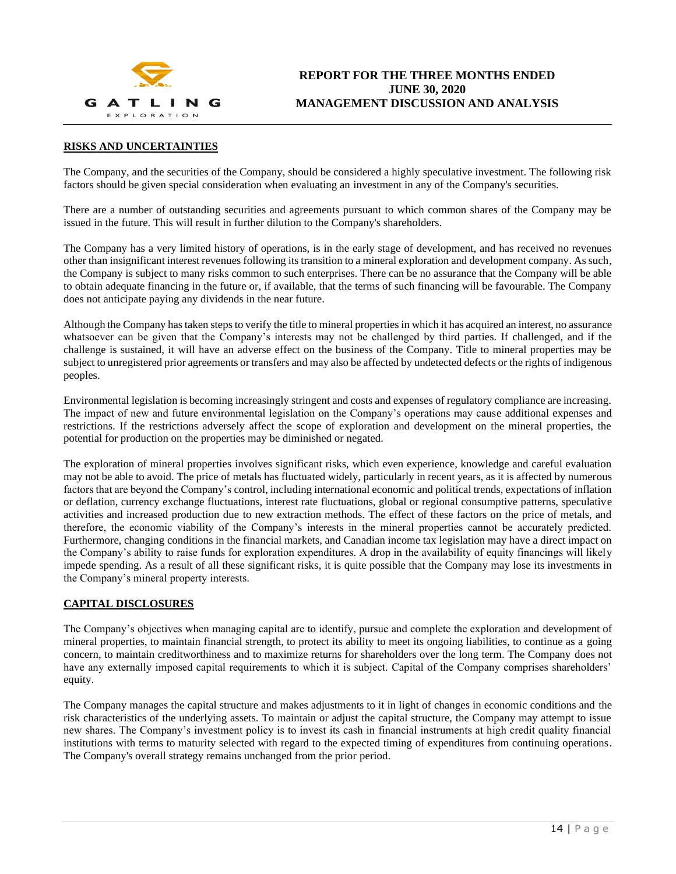

# **RISKS AND UNCERTAINTIES**

The Company, and the securities of the Company, should be considered a highly speculative investment. The following risk factors should be given special consideration when evaluating an investment in any of the Company's securities.

There are a number of outstanding securities and agreements pursuant to which common shares of the Company may be issued in the future. This will result in further dilution to the Company's shareholders.

The Company has a very limited history of operations, is in the early stage of development, and has received no revenues other than insignificant interest revenues following its transition to a mineral exploration and development company. As such, the Company is subject to many risks common to such enterprises. There can be no assurance that the Company will be able to obtain adequate financing in the future or, if available, that the terms of such financing will be favourable. The Company does not anticipate paying any dividends in the near future.

Although the Company has taken steps to verify the title to mineral properties in which it has acquired an interest, no assurance whatsoever can be given that the Company's interests may not be challenged by third parties. If challenged, and if the challenge is sustained, it will have an adverse effect on the business of the Company. Title to mineral properties may be subject to unregistered prior agreements or transfers and may also be affected by undetected defects or the rights of indigenous peoples.

Environmental legislation is becoming increasingly stringent and costs and expenses of regulatory compliance are increasing. The impact of new and future environmental legislation on the Company's operations may cause additional expenses and restrictions. If the restrictions adversely affect the scope of exploration and development on the mineral properties, the potential for production on the properties may be diminished or negated.

The exploration of mineral properties involves significant risks, which even experience, knowledge and careful evaluation may not be able to avoid. The price of metals has fluctuated widely, particularly in recent years, as it is affected by numerous factors that are beyond the Company's control, including international economic and political trends, expectations of inflation or deflation, currency exchange fluctuations, interest rate fluctuations, global or regional consumptive patterns, speculative activities and increased production due to new extraction methods. The effect of these factors on the price of metals, and therefore, the economic viability of the Company's interests in the mineral properties cannot be accurately predicted. Furthermore, changing conditions in the financial markets, and Canadian income tax legislation may have a direct impact on the Company's ability to raise funds for exploration expenditures. A drop in the availability of equity financings will likely impede spending. As a result of all these significant risks, it is quite possible that the Company may lose its investments in the Company's mineral property interests.

## **CAPITAL DISCLOSURES**

The Company's objectives when managing capital are to identify, pursue and complete the exploration and development of mineral properties, to maintain financial strength, to protect its ability to meet its ongoing liabilities, to continue as a going concern, to maintain creditworthiness and to maximize returns for shareholders over the long term. The Company does not have any externally imposed capital requirements to which it is subject. Capital of the Company comprises shareholders' equity.

The Company manages the capital structure and makes adjustments to it in light of changes in economic conditions and the risk characteristics of the underlying assets. To maintain or adjust the capital structure, the Company may attempt to issue new shares. The Company's investment policy is to invest its cash in financial instruments at high credit quality financial institutions with terms to maturity selected with regard to the expected timing of expenditures from continuing operations. The Company's overall strategy remains unchanged from the prior period.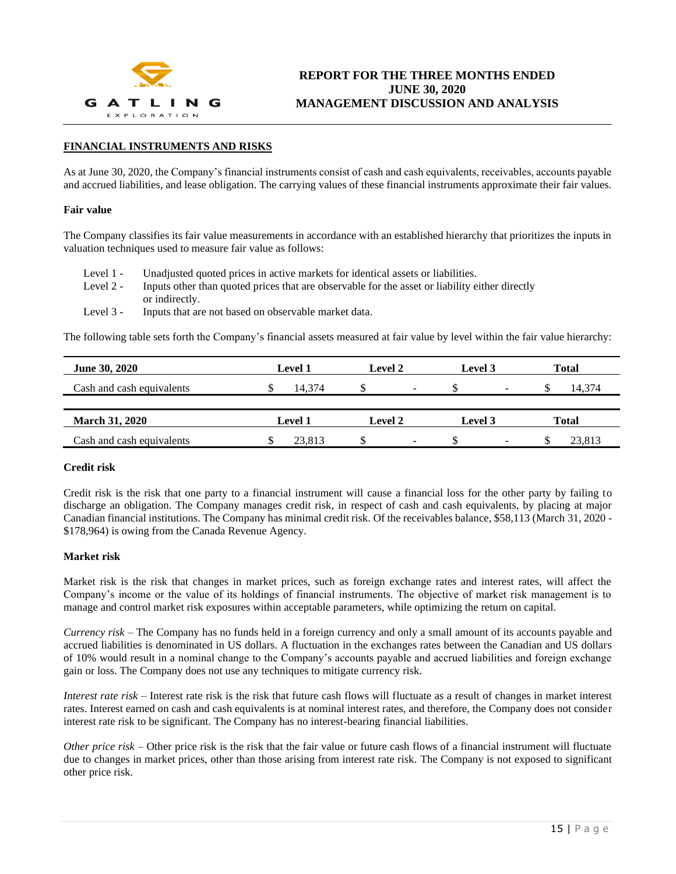

# **FINANCIAL INSTRUMENTS AND RISKS**

As at June 30, 2020, the Company's financial instruments consist of cash and cash equivalents, receivables, accounts payable and accrued liabilities, and lease obligation. The carrying values of these financial instruments approximate their fair values.

#### **Fair value**

The Company classifies its fair value measurements in accordance with an established hierarchy that prioritizes the inputs in valuation techniques used to measure fair value as follows:

- Level 1 Unadjusted quoted prices in active markets for identical assets or liabilities.
- Level 2 Inputs other than quoted prices that are observable for the asset or liability either directly or indirectly.
- Level 3 Inputs that are not based on observable market data.

The following table sets forth the Company's financial assets measured at fair value by level within the fair value hierarchy:

| <b>June 30, 2020</b>      | <b>Level 1</b> | Level 2                  | Level 3                  | <b>Total</b> |
|---------------------------|----------------|--------------------------|--------------------------|--------------|
| Cash and cash equivalents | 14.374         | S<br>-                   | $\overline{\phantom{a}}$ | 14.374       |
|                           |                |                          |                          |              |
| <b>March 31, 2020</b>     | <b>Level 1</b> | Level 2                  | Level 3                  | <b>Total</b> |
| Cash and cash equivalents | 23.813         | $\overline{\phantom{0}}$ | ۰<br>۰D.                 | 23.813       |

#### **Credit risk**

Credit risk is the risk that one party to a financial instrument will cause a financial loss for the other party by failing to discharge an obligation. The Company manages credit risk, in respect of cash and cash equivalents, by placing at major Canadian financial institutions. The Company has minimal credit risk. Of the receivables balance, \$58,113 (March 31, 2020 - \$178,964) is owing from the Canada Revenue Agency.

#### **Market risk**

Market risk is the risk that changes in market prices, such as foreign exchange rates and interest rates, will affect the Company's income or the value of its holdings of financial instruments. The objective of market risk management is to manage and control market risk exposures within acceptable parameters, while optimizing the return on capital.

*Currency risk* – The Company has no funds held in a foreign currency and only a small amount of its accounts payable and accrued liabilities is denominated in US dollars. A fluctuation in the exchanges rates between the Canadian and US dollars of 10% would result in a nominal change to the Company's accounts payable and accrued liabilities and foreign exchange gain or loss. The Company does not use any techniques to mitigate currency risk.

*Interest rate risk* – Interest rate risk is the risk that future cash flows will fluctuate as a result of changes in market interest rates. Interest earned on cash and cash equivalents is at nominal interest rates, and therefore, the Company does not consider interest rate risk to be significant. The Company has no interest-bearing financial liabilities.

*Other price risk* – Other price risk is the risk that the fair value or future cash flows of a financial instrument will fluctuate due to changes in market prices, other than those arising from interest rate risk. The Company is not exposed to significant other price risk.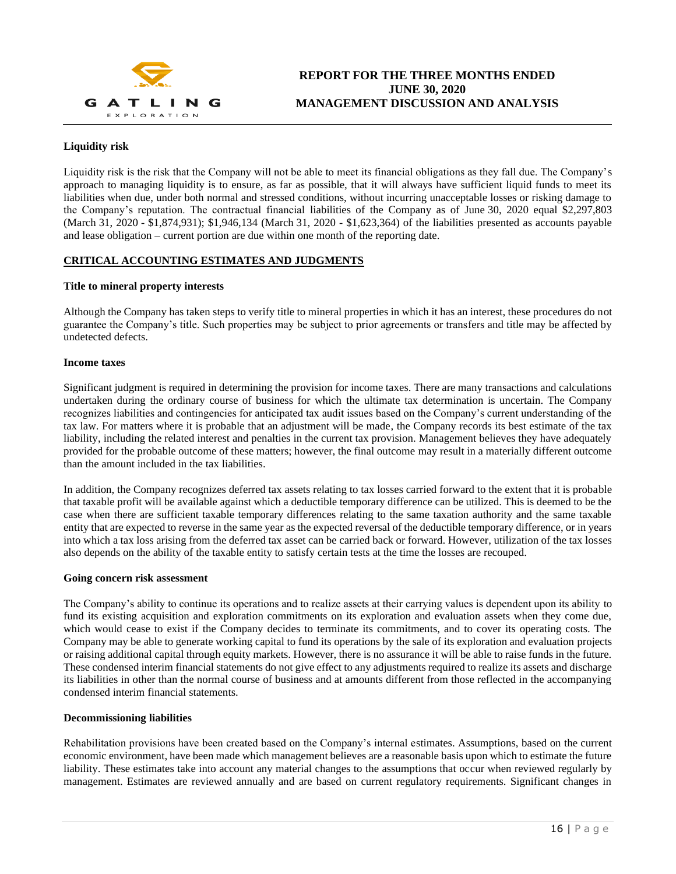

# **Liquidity risk**

Liquidity risk is the risk that the Company will not be able to meet its financial obligations as they fall due. The Company's approach to managing liquidity is to ensure, as far as possible, that it will always have sufficient liquid funds to meet its liabilities when due, under both normal and stressed conditions, without incurring unacceptable losses or risking damage to the Company's reputation. The contractual financial liabilities of the Company as of June 30, 2020 equal \$2,297,803 (March 31, 2020 - \$1,874,931); \$1,946,134 (March 31, 2020 - \$1,623,364) of the liabilities presented as accounts payable and lease obligation – current portion are due within one month of the reporting date.

# **CRITICAL ACCOUNTING ESTIMATES AND JUDGMENTS**

# **Title to mineral property interests**

Although the Company has taken steps to verify title to mineral properties in which it has an interest, these procedures do not guarantee the Company's title. Such properties may be subject to prior agreements or transfers and title may be affected by undetected defects.

#### **Income taxes**

Significant judgment is required in determining the provision for income taxes. There are many transactions and calculations undertaken during the ordinary course of business for which the ultimate tax determination is uncertain. The Company recognizes liabilities and contingencies for anticipated tax audit issues based on the Company's current understanding of the tax law. For matters where it is probable that an adjustment will be made, the Company records its best estimate of the tax liability, including the related interest and penalties in the current tax provision. Management believes they have adequately provided for the probable outcome of these matters; however, the final outcome may result in a materially different outcome than the amount included in the tax liabilities.

In addition, the Company recognizes deferred tax assets relating to tax losses carried forward to the extent that it is probable that taxable profit will be available against which a deductible temporary difference can be utilized. This is deemed to be the case when there are sufficient taxable temporary differences relating to the same taxation authority and the same taxable entity that are expected to reverse in the same year as the expected reversal of the deductible temporary difference, or in years into which a tax loss arising from the deferred tax asset can be carried back or forward. However, utilization of the tax losses also depends on the ability of the taxable entity to satisfy certain tests at the time the losses are recouped.

#### **Going concern risk assessment**

The Company's ability to continue its operations and to realize assets at their carrying values is dependent upon its ability to fund its existing acquisition and exploration commitments on its exploration and evaluation assets when they come due, which would cease to exist if the Company decides to terminate its commitments, and to cover its operating costs. The Company may be able to generate working capital to fund its operations by the sale of its exploration and evaluation projects or raising additional capital through equity markets. However, there is no assurance it will be able to raise funds in the future. These condensed interim financial statements do not give effect to any adjustments required to realize its assets and discharge its liabilities in other than the normal course of business and at amounts different from those reflected in the accompanying condensed interim financial statements.

#### **Decommissioning liabilities**

Rehabilitation provisions have been created based on the Company's internal estimates. Assumptions, based on the current economic environment, have been made which management believes are a reasonable basis upon which to estimate the future liability. These estimates take into account any material changes to the assumptions that occur when reviewed regularly by management. Estimates are reviewed annually and are based on current regulatory requirements. Significant changes in